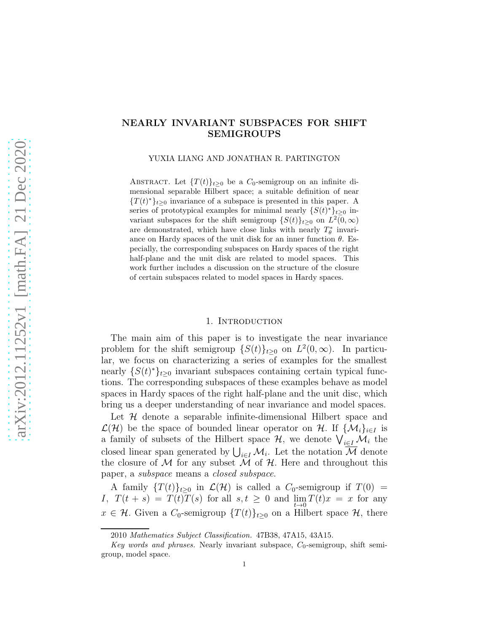### NEARLY INVARIANT SUBSPACES FOR SHIFT SEMIGROUPS

YUXIA LIANG AND JONATHAN R. PARTINGTON

ABSTRACT. Let  $\{T(t)\}_{t\geq0}$  be a  $C_0$ -semigroup on an infinite dimensional separable Hilbert space; a suitable definition of near  ${T(t)}_{t\geq0}$  invariance of a subspace is presented in this paper. A series of prototypical examples for minimal nearly  $\{S(t)^*\}_{t\geq 0}$  invariant subspaces for the shift semigroup  $\{S(t)\}_{t\geq 0}$  on  $L^2(0,\infty)$ are demonstrated, which have close links with nearly  $T^*_{\theta}$  invariance on Hardy spaces of the unit disk for an inner function  $\theta$ . Especially, the corresponding subspaces on Hardy spaces of the right half-plane and the unit disk are related to model spaces. This work further includes a discussion on the structure of the closure of certain subspaces related to model spaces in Hardy spaces.

#### 1. INTRODUCTION

The main aim of this paper is to investigate the near invariance problem for the shift semigroup  $\{S(t)\}_{t\geq0}$  on  $L^2(0,\infty)$ . In particular, we focus on characterizing a series of examples for the smallest nearly  ${S(t)}_{t\geq0}$  invariant subspaces containing certain typical functions. The corresponding subspaces of these examples behave as model spaces in Hardy spaces of the right half-plane and the unit disc, which bring us a deeper understanding of near invariance and model spaces.

Let  $H$  denote a separable infinite-dimensional Hilbert space and  $\mathcal{L}(\mathcal{H})$  be the space of bounded linear operator on H. If  $\{\mathcal{M}_i\}_{i\in I}$  is a family of subsets of the Hilbert space  $\mathcal{H}$ , we denote  $\bigvee_{i\in I}\mathcal{M}_i$  the closed linear span generated by  $\bigcup_{i\in I} M_i$ . Let the notation  $\overline{M}$  denote the closure of M for any subset M of H. Here and throughout this paper, a subspace means a closed subspace.

A family  $\{T(t)\}_{t>0}$  in  $\mathcal{L}(\mathcal{H})$  is called a  $C_0$ -semigroup if  $T(0)$  = I,  $T(t + s) = T(t)T(s)$  for all  $s, t \ge 0$  and  $\lim_{t \to 0} T(t)x = x$  for any  $x \in \mathcal{H}$ . Given a  $C_0$ -semigroup  $\{T(t)\}_{t\geq 0}$  on a Hilbert space  $\mathcal{H}$ , there

<sup>2010</sup> Mathematics Subject Classification. 47B38, 47A15, 43A15.

Key words and phrases. Nearly invariant subspace,  $C_0$ -semigroup, shift semigroup, model space.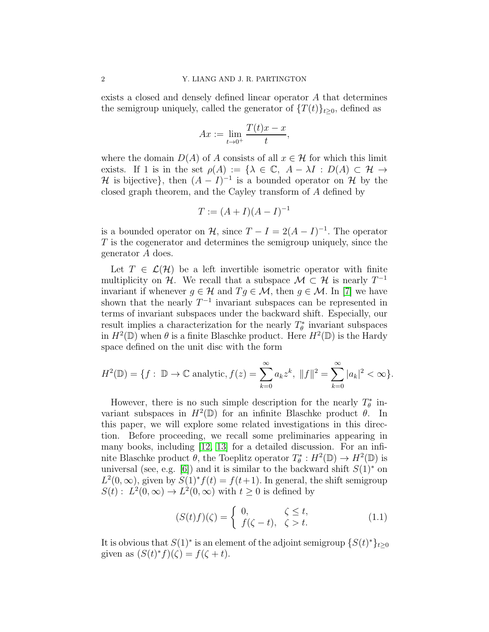exists a closed and densely defined linear operator A that determines the semigroup uniquely, called the generator of  $\{T(t)\}_{t\geq0}$ , defined as

$$
Ax := \lim_{t \to 0^+} \frac{T(t)x - x}{t},
$$

where the domain  $D(A)$  of A consists of all  $x \in \mathcal{H}$  for which this limit exists. If 1 is in the set  $\rho(A) := \{ \lambda \in \mathbb{C}, A - \lambda I : D(A) \subset \mathcal{H} \to$  $\mathcal H$  is bijective}, then  $(A - I)^{-1}$  is a bounded operator on  $\mathcal H$  by the closed graph theorem, and the Cayley transform of A defined by

$$
T := (A + I)(A - I)^{-1}
$$

is a bounded operator on  $\mathcal{H}$ , since  $T - I = 2(A - I)^{-1}$ . The operator T is the cogenerator and determines the semigroup uniquely, since the generator A does.

Let  $T \in \mathcal{L}(\mathcal{H})$  be a left invertible isometric operator with finite multiplicity on H. We recall that a subspace  $\mathcal{M} \subset \mathcal{H}$  is nearly  $T^{-1}$ invariant if whenever  $g \in \mathcal{H}$  and  $T g \in \mathcal{M}$ , then  $g \in \mathcal{M}$ . In [\[7\]](#page-18-0) we have shown that the nearly  $T^{-1}$  invariant subspaces can be represented in terms of invariant subspaces under the backward shift. Especially, our result implies a characterization for the nearly  $T^*_{\theta}$  invariant subspaces in  $H^2(\mathbb{D})$  when  $\theta$  is a finite Blaschke product. Here  $H^2(\mathbb{D})$  is the Hardy space defined on the unit disc with the form

$$
H^{2}(\mathbb{D}) = \{ f : \mathbb{D} \to \mathbb{C} \text{ analytic}, f(z) = \sum_{k=0}^{\infty} a_{k} z^{k}, ||f||^{2} = \sum_{k=0}^{\infty} |a_{k}|^{2} < \infty \}.
$$

However, there is no such simple description for the nearly  $T^*_{\theta}$  invariant subspaces in  $H^2(\mathbb{D})$  for an infinite Blaschke product  $\theta$ . In this paper, we will explore some related investigations in this direction. Before proceeding, we recall some preliminaries appearing in many books, including [\[12,](#page-19-0) [13\]](#page-19-1) for a detailed discussion. For an infinite Blaschke product  $\theta$ , the Toeplitz operator  $T^*_{\theta}: H^2(\mathbb{D}) \to H^2(\mathbb{D})$  is universal (see, e.g. [\[6\]](#page-18-1)) and it is similar to the backward shift  $S(1)$ <sup>\*</sup> on  $L^2(0,\infty)$ , given by  $S(1)^* f(t) = f(t+1)$ . In general, the shift semigroup  $S(t) : L^2(0, \infty) \to L^2(0, \infty)$  with  $t \ge 0$  is defined by

<span id="page-1-0"></span>
$$
(S(t)f)(\zeta) = \begin{cases} 0, & \zeta \le t, \\ f(\zeta - t), & \zeta > t. \end{cases}
$$
 (1.1)

It is obvious that  $S(1)^*$  is an element of the adjoint semigroup  $\{S(t)^*\}_{t\geq 0}$ given as  $(S(t)^* f)(\zeta) = f(\zeta + t)$ .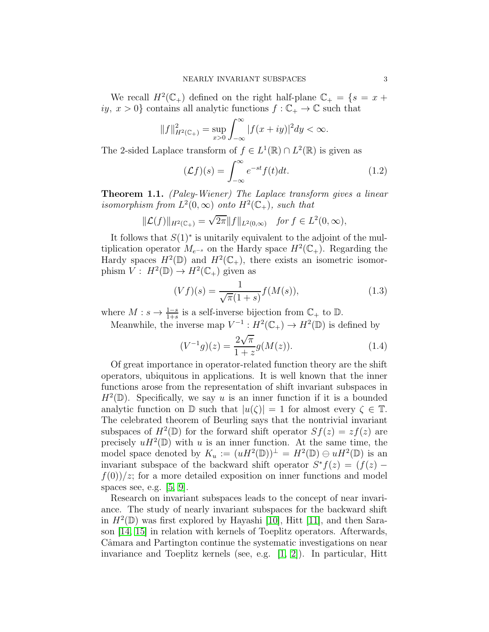We recall  $H^2(\mathbb{C}_+)$  defined on the right half-plane  $\mathbb{C}_+ = \{s = x +$ iy,  $x > 0$ } contains all analytic functions  $f: \mathbb{C}_+ \to \mathbb{C}$  such that

$$
||f||_{H^{2}(\mathbb{C}_{+})}^{2} = \sup_{x>0} \int_{-\infty}^{\infty} |f(x+iy)|^{2} dy < \infty.
$$

The 2-sided Laplace transform of  $f \in L^1(\mathbb{R}) \cap L^2(\mathbb{R})$  is given as

<span id="page-2-1"></span>
$$
(\mathcal{L}f)(s) = \int_{-\infty}^{\infty} e^{-st} f(t) dt.
$$
 (1.2)

Theorem 1.1. (Paley-Wiener) The Laplace transform gives a linear isomorphism from  $L^2(0,\infty)$  onto  $H^2(\mathbb{C}_+)$ , such that

$$
\|\mathcal{L}(f)\|_{H^2(\mathbb{C}_+)} = \sqrt{2\pi} \|f\|_{L^2(0,\infty)} \quad \text{for } f \in L^2(0,\infty),
$$

It follows that  $S(1)$ <sup>\*</sup> is unitarily equivalent to the adjoint of the multiplication operator  $M_{e^{-s}}$  on the Hardy space  $H^2(\mathbb{C}_+)$ . Regarding the Hardy spaces  $H^2(\mathbb{D})$  and  $H^2(\mathbb{C}_+)$ , there exists an isometric isomorphism  $V: H^2(\mathbb{D}) \to H^2(\mathbb{C}_+)$  given as

<span id="page-2-2"></span>
$$
(Vf)(s) = \frac{1}{\sqrt{\pi}(1+s)} f(M(s)),
$$
\n(1.3)

where  $M: s \to \frac{1-s}{1+s}$  is a self-inverse bijection from  $\mathbb{C}_+$  to  $\mathbb{D}$ .

Meanwhile, the inverse map  $V^{-1}: H^2(\mathbb{C}_+) \to H^2(\mathbb{D})$  is defined by

<span id="page-2-0"></span>
$$
(V^{-1}g)(z) = \frac{2\sqrt{\pi}}{1+z}g(M(z)).
$$
\n(1.4)

Of great importance in operator-related function theory are the shift operators, ubiquitous in applications. It is well known that the inner functions arose from the representation of shift invariant subspaces in  $H^2(\mathbb{D})$ . Specifically, we say u is an inner function if it is a bounded analytic function on  $\mathbb D$  such that  $|u(\zeta)| = 1$  for almost every  $\zeta \in \mathbb T$ . The celebrated theorem of Beurling says that the nontrivial invariant subspaces of  $H^2(\mathbb{D})$  for the forward shift operator  $Sf(z) = zf(z)$  are precisely  $uH^2(\mathbb{D})$  with u is an inner function. At the same time, the model space denoted by  $K_u := (uH^2(\mathbb{D}))^{\perp} = H^2(\mathbb{D}) \oplus uH^2(\mathbb{D})$  is an invariant subspace of the backward shift operator  $S^*f(z) = (f(z) - \frac{1}{z(z)})$  $f(0)/z$ ; for a more detailed exposition on inner functions and model spaces see, e.g. [\[5,](#page-18-2) [9\]](#page-18-3).

Research on invariant subspaces leads to the concept of near invariance. The study of nearly invariant subspaces for the backward shift in  $H^2(\mathbb{D})$  was first explored by Hayashi [\[10\]](#page-18-4), Hitt [\[11\]](#page-18-5), and then Sarason [\[14,](#page-19-2) [15\]](#page-19-3) in relation with kernels of Toeplitz operators. Afterwards, Câmara and Partington continue the systematic investigations on near invariance and Toeplitz kernels (see, e.g.  $[1, 2]$  $[1, 2]$ ). In particular, Hitt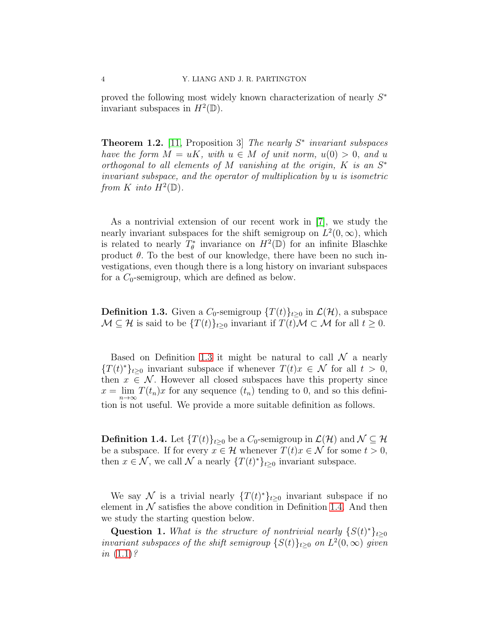proved the following most widely known characterization of nearly  $S^*$ invariant subspaces in  $H^2(\mathbb{D})$ .

**Theorem 1.2.** [\[11,](#page-18-5) Proposition 3] The nearly  $S^*$  invariant subspaces have the form  $M = uK$ , with  $u \in M$  of unit norm,  $u(0) > 0$ , and u orthogonal to all elements of M vanishing at the origin,  $K$  is an  $S^*$ invariant subspace, and the operator of multiplication by u is isometric from K into  $\overline{H}^2(\mathbb{D})$ .

As a nontrivial extension of our recent work in [\[7\]](#page-18-0), we study the nearly invariant subspaces for the shift semigroup on  $L^2(0, \infty)$ , which is related to nearly  $T^*_{\theta}$  invariance on  $H^2(\mathbb{D})$  for an infinite Blaschke product  $\theta$ . To the best of our knowledge, there have been no such investigations, even though there is a long history on invariant subspaces for a  $C_0$ -semigroup, which are defined as below.

<span id="page-3-0"></span>**Definition 1.3.** Given a  $C_0$ -semigroup  $\{T(t)\}_{t\geq0}$  in  $\mathcal{L}(\mathcal{H})$ , a subspace  $\mathcal{M} \subseteq \mathcal{H}$  is said to be  $\{T(t)\}_{t\geq 0}$  invariant if  $T(t)\mathcal{M} \subset \mathcal{M}$  for all  $t \geq 0$ .

Based on Definition [1.3](#page-3-0) it might be natural to call  $\mathcal N$  a nearly  ${T(t)}_{t\geq0}$  invariant subspace if whenever  $T(t)x \in \mathcal{N}$  for all  $t > 0$ , then  $x \in \mathcal{N}$ . However all closed subspaces have this property since  $x = \lim_{n \to \infty} T(t_n)x$  for any sequence  $(t_n)$  tending to 0, and so this definition is not useful. We provide a more suitable definition as follows.

<span id="page-3-1"></span>**Definition 1.4.** Let  $\{T(t)\}_{t>0}$  be a  $C_0$ -semigroup in  $\mathcal{L}(\mathcal{H})$  and  $\mathcal{N} \subseteq \mathcal{H}$ be a subspace. If for every  $x \in \mathcal{H}$  whenever  $T(t)x \in \mathcal{N}$  for some  $t > 0$ , then  $x \in \mathcal{N}$ , we call  $\mathcal N$  a nearly  $\{T(t)^*\}_{t\geq 0}$  invariant subspace.

We say N is a trivial nearly  $\{T(t)^*\}_{t\geq 0}$  invariant subspace if no element in  $N$  satisfies the above condition in Definition [1.4.](#page-3-1) And then we study the starting question below.

Question 1. What is the structure of nontrivial nearly  $\{S(t)^*\}_{t\geq 0}$ invariant subspaces of the shift semigroup  $\{S(t)\}_{t\geq 0}$  on  $L^2(0,\infty)$  given in  $(1.1)$ ?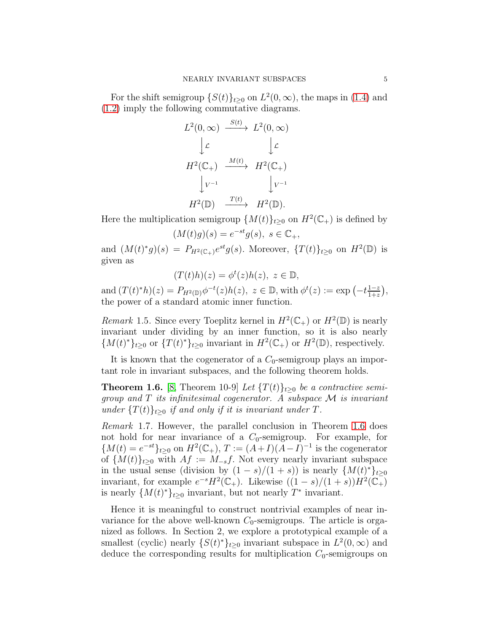For the shift semigroup  $\{S(t)\}_{t\geq 0}$  on  $L^2(0,\infty)$ , the maps in [\(1.4\)](#page-2-0) and [\(1.2\)](#page-2-1) imply the following commutative diagrams.

$$
L^{2}(0, \infty) \xrightarrow{S(t)} L^{2}(0, \infty)
$$
  

$$
\downarrow \mathcal{L} \qquad \qquad \downarrow \mathcal{L}
$$
  

$$
H^{2}(\mathbb{C}_{+}) \xrightarrow{M(t)} H^{2}(\mathbb{C}_{+})
$$
  

$$
\downarrow V^{-1} \qquad \qquad \downarrow V^{-1}
$$
  

$$
H^{2}(\mathbb{D}) \xrightarrow{T(t)} H^{2}(\mathbb{D}).
$$

Here the multiplication semigroup  $\{M(t)\}_{t\geq 0}$  on  $H^2(\mathbb{C}_+)$  is defined by

$$
(M(t)g)(s) = e^{-st}g(s), \ s \in \mathbb{C}_+,
$$

and  $(M(t)^*g)(s) = P_{H^2(\mathbb{C}_+)}e^{st}g(s)$ . Moreover,  $\{T(t)\}_{t\geq 0}$  on  $H^2(\mathbb{D})$  is given as

$$
(T(t)h)(z) = \phi^t(z)h(z), \ z \in \mathbb{D},
$$

and  $(T(t)^*h)(z) = P_{H^2(\mathbb{D})}\phi^{-t}(z)h(z), z \in \mathbb{D}$ , with  $\phi^t(z) := \exp(-t\frac{1-z}{1+z})$  $\frac{1-z}{1+z}\big),$ the power of a standard atomic inner function.

Remark 1.5. Since every Toeplitz kernel in  $H^2(\mathbb{C}_+)$  or  $H^2(\mathbb{D})$  is nearly invariant under dividing by an inner function, so it is also nearly  ${M(t)}^*_{t\geq 0}$  or  ${T(t)}^*_{t\geq 0}$  invariant in  $H^2(\mathbb{C}_+)$  or  $H^2(\mathbb{D})$ , respectively.

It is known that the cogenerator of a  $C_0$ -semigroup plays an important role in invariant subspaces, and the following theorem holds.

<span id="page-4-0"></span>**Theorem 1.6.** [\[8,](#page-18-8) Theorem 10-9] Let  $\{T(t)\}_{t\geq0}$  be a contractive semigroup and  $T$  its infinitesimal cogenerator. A subspace  $\mathcal M$  is invariant under  $\{T(t)\}_{t>0}$  if and only if it is invariant under T.

Remark 1.7. However, the parallel conclusion in Theorem [1.6](#page-4-0) does not hold for near invariance of a  $C_0$ -semigroup. For example, for  ${M(t) = e^{-st}}_{t \geq 0}$  on  $H^2(\mathbb{C}_+), T := (A+I)(A-I)^{-1}$  is the cogenerator of  ${M(t)}_{t>0}$  with  $Af := M_{-s}f$ . Not every nearly invariant subspace in the usual sense (division by  $(1-s)/(1+s)$ ) is nearly  $\{M(t)^*\}_{t\geq 0}$ invariant, for example  $e^{-s}H^2(\mathbb{C}_+)$ . Likewise  $((1-s)/(1+s))H^2(\mathbb{C}_+)$ is nearly  $\{M(t)^*\}_{t\geq 0}$  invariant, but not nearly  $T^*$  invariant.

Hence it is meaningful to construct nontrivial examples of near invariance for the above well-known  $C_0$ -semigroups. The article is organized as follows. In Section 2, we explore a prototypical example of a smallest (cyclic) nearly  $\{S(t)^*\}_{t\geq 0}$  invariant subspace in  $L^2(0,\infty)$  and deduce the corresponding results for multiplication  $C_0$ -semigroups on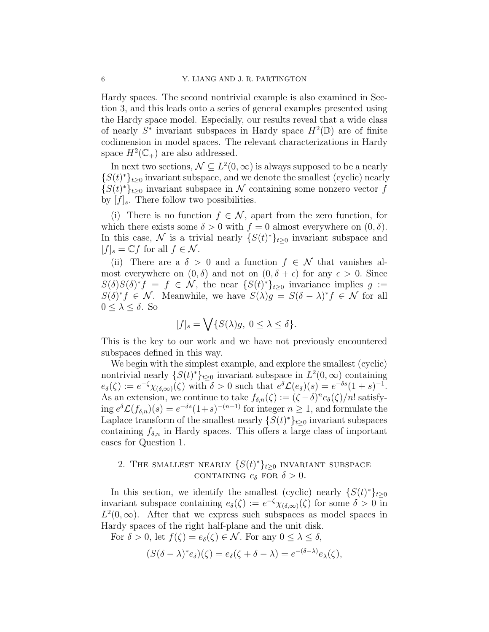Hardy spaces. The second nontrivial example is also examined in Section 3, and this leads onto a series of general examples presented using the Hardy space model. Especially, our results reveal that a wide class of nearly  $S^*$  invariant subspaces in Hardy space  $H^2(\mathbb{D})$  are of finite codimension in model spaces. The relevant characterizations in Hardy space  $H^2(\mathbb{C}_+)$  are also addressed.

In next two sections,  $\mathcal{N} \subseteq L^2(0, \infty)$  is always supposed to be a nearly  ${S(t)}_{t\geq0}$  invariant subspace, and we denote the smallest (cyclic) nearly  ${S(t)}^*t_{t\geq 0}$  invariant subspace in N containing some nonzero vector f by  $|f|_s$ . There follow two possibilities.

(i) There is no function  $f \in \mathcal{N}$ , apart from the zero function, for which there exists some  $\delta > 0$  with  $f = 0$  almost everywhere on  $(0, \delta)$ . In this case,  $\mathcal N$  is a trivial nearly  $\{S(t)^*\}_{t\geq 0}$  invariant subspace and  $[f]_s = \mathbb{C} f$  for all  $f \in \mathcal{N}$ .

(ii) There are a  $\delta > 0$  and a function  $f \in \mathcal{N}$  that vanishes almost everywhere on  $(0, \delta)$  and not on  $(0, \delta + \epsilon)$  for any  $\epsilon > 0$ . Since  $S(\delta)S(\delta)^*f = f \in \mathcal{N}$ , the near  $\{S(t)^*\}_{t\geq 0}$  invariance implies  $g :=$  $S(\delta)^* f \in \mathcal{N}$ . Meanwhile, we have  $S(\lambda)g = S(\delta - \lambda)^* f \in \mathcal{N}$  for all  $0 \leq \lambda \leq \delta$ . So

$$
[f]_s = \bigvee \{ S(\lambda)g, \ 0 \le \lambda \le \delta \}.
$$

This is the key to our work and we have not previously encountered subspaces defined in this way.

We begin with the simplest example, and explore the smallest (cyclic) nontrivial nearly  $\{S(t)^*\}_{t\geq 0}$  invariant subspace in  $L^2(0, \infty)$  containing  $e_{\delta}(\zeta) := e^{-\zeta} \chi_{(\delta,\infty)}(\zeta)$  with  $\delta > 0$  such that  $e^{\delta} \mathcal{L}(e_{\delta})(s) = e^{-\delta s} (1+s)^{-1}$ . As an extension, we continue to take  $f_{\delta,n}(\zeta) := (\zeta - \delta)^n e_{\delta}(\zeta)/n!$  satisfying  $e^{\delta} \mathcal{L}(f_{\delta,n})(s) = e^{-\delta s} (1+s)^{-(n+1)}$  for integer  $n \geq 1$ , and formulate the Laplace transform of the smallest nearly  $\{S(t)^*\}_{t\geq 0}$  invariant subspaces containing  $f_{\delta,n}$  in Hardy spaces. This offers a large class of important cases for Question 1.

# 2. THE SMALLEST NEARLY  $\{S(t)^*\}_{t\geq 0}$  INVARIANT SUBSPACE CONTAINING  $e_{\delta}$  FOR  $\delta > 0$ .

In this section, we identify the smallest (cyclic) nearly  $\{S(t)^*\}_{t\geq 0}$ invariant subspace containing  $e_{\delta}(\zeta) := e^{-\zeta} \chi_{(\delta, \infty)}(\zeta)$  for some  $\delta > 0$  in  $L^2(0,\infty)$ . After that we express such subspaces as model spaces in Hardy spaces of the right half-plane and the unit disk.

For  $\delta > 0$ , let  $f(\zeta) = e_{\delta}(\zeta) \in \mathcal{N}$ . For any  $0 \leq \lambda \leq \delta$ ,

$$
(S(\delta - \lambda)^* e_{\delta})(\zeta) = e_{\delta}(\zeta + \delta - \lambda) = e^{-(\delta - \lambda)} e_{\lambda}(\zeta),
$$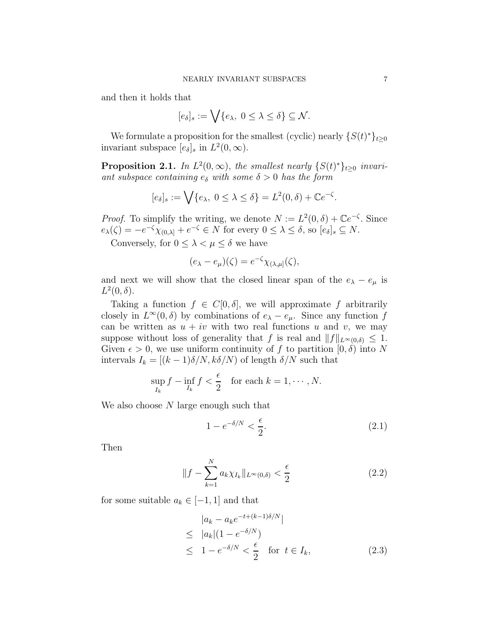and then it holds that

$$
[e_\delta]_s:=\bigvee\{e_\lambda,\;0\le\lambda\le\delta\}\subseteq\mathcal{N}.
$$

We formulate a proposition for the smallest (cyclic) nearly  $\{S(t)^*\}_{t\geq 0}$ invariant subspace  $[e_{\delta}]_s$  in  $L^2(0, \infty)$ .

<span id="page-6-3"></span>**Proposition 2.1.** In  $L^2(0,\infty)$ , the smallest nearly  $\{S(t)^*\}_{t\geq 0}$  invariant subspace containing  $e_{\delta}$  with some  $\delta > 0$  has the form

$$
[e_{\delta}]_s := \bigvee \{e_{\lambda}, \ 0 \leq \lambda \leq \delta\} = L^2(0, \delta) + \mathbb{C}e^{-\zeta}.
$$

*Proof.* To simplify the writing, we denote  $N := L^2(0, \delta) + \mathbb{C}e^{-\zeta}$ . Since  $e_{\lambda}(\zeta) = -e^{-\zeta}\chi_{(0,\lambda]} + e^{-\zeta} \in N$  for every  $0 \leq \lambda \leq \delta$ , so  $[e_{\delta}]_s \subseteq N$ .

Conversely, for  $0 \leq \lambda < \mu \leq \delta$  we have

$$
(e_{\lambda} - e_{\mu})(\zeta) = e^{-\zeta} \chi_{(\lambda,\mu]}(\zeta),
$$

and next we will show that the closed linear span of the  $e_{\lambda} - e_{\mu}$  is  $L^2(0,\delta)$ .

Taking a function  $f \in C[0,\delta]$ , we will approximate f arbitrarily closely in  $L^{\infty}(0, \delta)$  by combinations of  $e_{\lambda} - e_{\mu}$ . Since any function f can be written as  $u + iv$  with two real functions u and v, we may suppose without loss of generality that f is real and  $||f||_{L^{\infty}(0,\delta)} \leq 1$ . Given  $\epsilon > 0$ , we use uniform continuity of f to partition  $[0, \delta)$  into N intervals  $I_k = [(k-1)\delta/N, k\delta/N)$  of length  $\delta/N$  such that

$$
\sup_{I_k} f - \inf_{I_k} f < \frac{\epsilon}{2} \quad \text{for each } k = 1, \cdots, N.
$$

We also choose  $N$  large enough such that

<span id="page-6-0"></span>
$$
1 - e^{-\delta/N} < \frac{\epsilon}{2}.\tag{2.1}
$$

Then

<span id="page-6-1"></span>
$$
||f - \sum_{k=1}^{N} a_k \chi_{I_k}||_{L^{\infty}(0,\delta)} < \frac{\epsilon}{2} \tag{2.2}
$$

for some suitable  $a_k \in [-1, 1]$  and that

<span id="page-6-2"></span>
$$
|a_k - a_k e^{-t + (k-1)\delta/N}|
$$
  
\n
$$
\leq |a_k|(1 - e^{-\delta/N})
$$
  
\n
$$
\leq 1 - e^{-\delta/N} < \frac{\epsilon}{2} \quad \text{for } t \in I_k,
$$
 (2.3)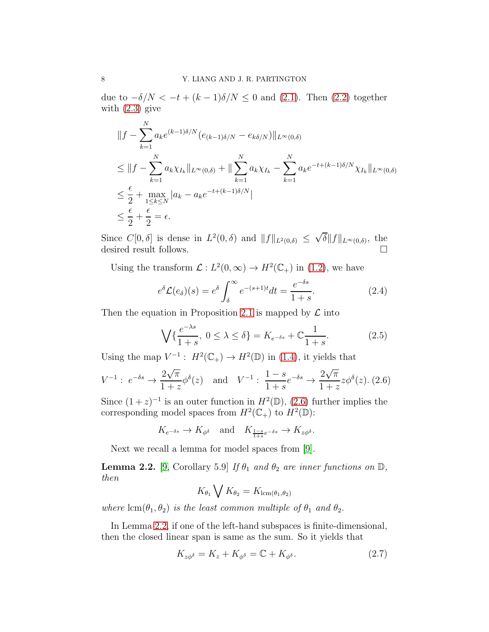due to  $-\delta/N < -t + (k-1)\delta/N \leq 0$  and [\(2.1\)](#page-6-0). Then [\(2.2\)](#page-6-1) together with  $(2.3)$  give

$$
\|f - \sum_{k=1}^{N} a_k e^{(k-1)\delta/N} (e_{(k-1)\delta/N} - e_{k\delta/N})\|_{L^{\infty}(0,\delta)}
$$
  
\n
$$
\leq \|f - \sum_{k=1}^{N} a_k \chi_{I_k}\|_{L^{\infty}(0,\delta)} + \|\sum_{k=1}^{N} a_k \chi_{I_k} - \sum_{k=1}^{N} a_k e^{-t + (k-1)\delta/N} \chi_{I_k}\|_{L^{\infty}(0,\delta)}
$$
  
\n
$$
\leq \frac{\epsilon}{2} + \max_{1 \leq k \leq N} |a_k - a_k e^{-t + (k-1)\delta/N}|
$$
  
\n
$$
\leq \frac{\epsilon}{2} + \frac{\epsilon}{2} = \epsilon.
$$

Since  $C[0, \delta]$  is dense in  $L^2(0, \delta)$  and  $||f||_{L^2(0, \delta)} \leq \sqrt{\delta}||f||_{L^{\infty}(0, \delta)}$ , the desired result follows.  $\hfill \square$ 

Using the transform  $\mathcal{L}: L^2(0, \infty) \to H^2(\mathbb{C}_+)$  in [\(1.2\)](#page-2-1), we have

<span id="page-7-4"></span>
$$
e^{\delta} \mathcal{L}(e_{\delta})(s) = e^{\delta} \int_{\delta}^{\infty} e^{-(s+1)t} dt = \frac{e^{-\delta s}}{1+s}.
$$
 (2.4)

Then the equation in Proposition [2.1](#page-6-3) is mapped by  $\mathcal L$  into

<span id="page-7-3"></span>
$$
\bigvee \{ \frac{e^{-\lambda s}}{1+s}, \ 0 \le \lambda \le \delta \} = K_{e^{-\delta s}} + \mathbb{C} \frac{1}{1+s}.
$$
 (2.5)

Using the map  $V^{-1}$ :  $H^2(\mathbb{C}_+) \to H^2(\mathbb{D})$  in [\(1.4\)](#page-2-0), it yields that

<span id="page-7-0"></span>
$$
V^{-1}: e^{-\delta s} \to \frac{2\sqrt{\pi}}{1+z} \phi^{\delta}(z)
$$
 and  $V^{-1}: \frac{1-s}{1+s} e^{-\delta s} \to \frac{2\sqrt{\pi}}{1+z} z \phi^{\delta}(z)$ . (2.6)

Since  $(1+z)^{-1}$  is an outer function in  $H^2(\mathbb{D})$ ,  $(2.6)$  further implies the corresponding model spaces from  $H^2(\mathbb{C}_+)$  to  $H^2(\mathbb{D})$ :

$$
K_{e^{-\delta s}} \to K_{\phi^{\delta}}
$$
 and  $K_{\frac{1-s}{1+s}e^{-\delta s}} \to K_{z\phi^{\delta}}$ .

Next we recall a lemma for model spaces from [\[9\]](#page-18-3).

<span id="page-7-1"></span>**Lemma 2.2.** [\[9,](#page-18-3) Corollary 5.9] If  $\theta_1$  and  $\theta_2$  are inner functions on  $\mathbb{D}$ , then

$$
K_{\theta_1} \bigvee K_{\theta_2} = K_{\operatorname{lcm}(\theta_1, \theta_2)}
$$

where  $\text{lcm}(\theta_1, \theta_2)$  is the least common multiple of  $\theta_1$  and  $\theta_2$ .

In Lemma [2.2,](#page-7-1) if one of the left-hand subspaces is finite-dimensional, then the closed linear span is same as the sum. So it yields that

<span id="page-7-2"></span>
$$
K_{z\phi^{\delta}} = K_z + K_{\phi^{\delta}} = \mathbb{C} + K_{\phi^{\delta}}.
$$
\n(2.7)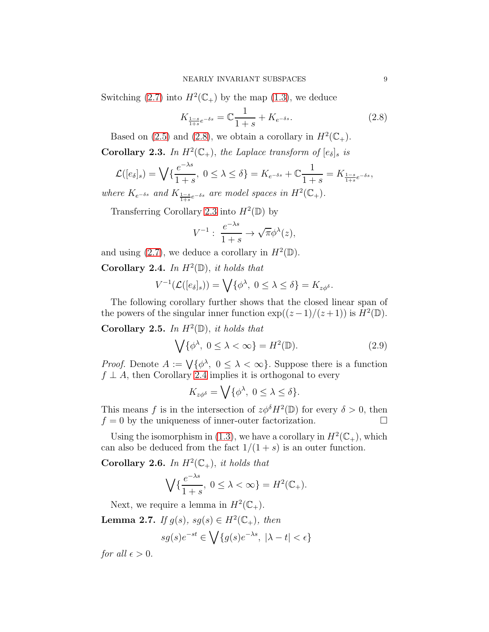Switching [\(2.7\)](#page-7-2) into  $H^2(\mathbb{C}_+)$  by the map [\(1.3\)](#page-2-2), we deduce

<span id="page-8-0"></span>
$$
K_{\frac{1-s}{1+s}e^{-\delta s}} = \mathbb{C}\frac{1}{1+s} + K_{e^{-\delta s}}.\tag{2.8}
$$

Based on [\(2.5\)](#page-7-3) and [\(2.8\)](#page-8-0), we obtain a corollary in  $H^2(\mathbb{C}_+)$ .

<span id="page-8-1"></span>**Corollary 2.3.** In  $H^2(\mathbb{C}_+)$ , the Laplace transform of  $[e_{\delta}]_s$  is

$$
\mathcal{L}([e_{\delta}]_s) = \bigvee \{ \frac{e^{-\lambda s}}{1+s}, \ 0 \leq \lambda \leq \delta \} = K_{e^{-\delta s}} + \mathbb{C} \frac{1}{1+s} = K_{\frac{1-s}{1+s}e^{-\delta s}},
$$

where  $K_{e^{-\delta s}}$  and  $K_{\frac{1-s}{1+s}e^{-\delta s}}$  are model spaces in  $H^2(\mathbb{C}_+).$ 

Transferring Corollary [2.3](#page-8-1) into  $H^2(\mathbb{D})$  by

$$
V^{-1}: \frac{e^{-\lambda s}}{1+s} \to \sqrt{\pi} \phi^{\lambda}(z),
$$

and using [\(2.7\)](#page-7-2), we deduce a corollary in  $H^2(\mathbb{D})$ .

<span id="page-8-2"></span>Corollary 2.4. In  $H^2(\mathbb{D})$ , it holds that

$$
V^{-1}(\mathcal{L}([e_{\delta}]_s)) = \bigvee \{ \phi^{\lambda}, \ 0 \leq \lambda \leq \delta \} = K_{z\phi^{\delta}}.
$$

The following corollary further shows that the closed linear span of the powers of the singular inner function  $\exp((z-1)/(z+1))$  is  $\overline{H}^2(\mathbb{D})$ .

Corollary 2.5. In  $H^2(\mathbb{D})$ , it holds that

<span id="page-8-4"></span>
$$
\bigvee \{ \phi^{\lambda}, \ 0 \le \lambda < \infty \} = H^2(\mathbb{D}).\tag{2.9}
$$

*Proof.* Denote  $A := \bigvee \{\phi^{\lambda}, 0 \leq \lambda < \infty\}$ . Suppose there is a function  $f \perp A$ , then Corollary [2.4](#page-8-2) implies it is orthogonal to every

$$
K_{z\phi^{\delta}} = \bigvee \{ \phi^{\lambda}, \ 0 \leq \lambda \leq \delta \}.
$$

This means f is in the intersection of  $z\phi^{\delta}H^2(\mathbb{D})$  for every  $\delta > 0$ , then  $f = 0$  by the uniqueness of inner-outer factorization.

Using the isomorphism in [\(1.3\)](#page-2-2), we have a corollary in  $H^2(\mathbb{C}_+)$ , which can also be deduced from the fact  $1/(1 + s)$  is an outer function.

Corollary 2.6. In  $H^2(\mathbb{C}_+)$ , it holds that

$$
\bigvee\{\frac{e^{-\lambda s}}{1+s},\ 0\leq\lambda<\infty\}=H^2(\mathbb{C}_+).
$$

Next, we require a lemma in  $H^2(\mathbb{C}_+).$ 

<span id="page-8-3"></span>**Lemma 2.7.** If  $g(s)$ ,  $sg(s) \in H^2(\mathbb{C}_+)$ , then

$$
sg(s)e^{-st} \in \bigvee \{g(s)e^{-\lambda s}, \ |\lambda - t| < \epsilon\}
$$

for all  $\epsilon > 0$ .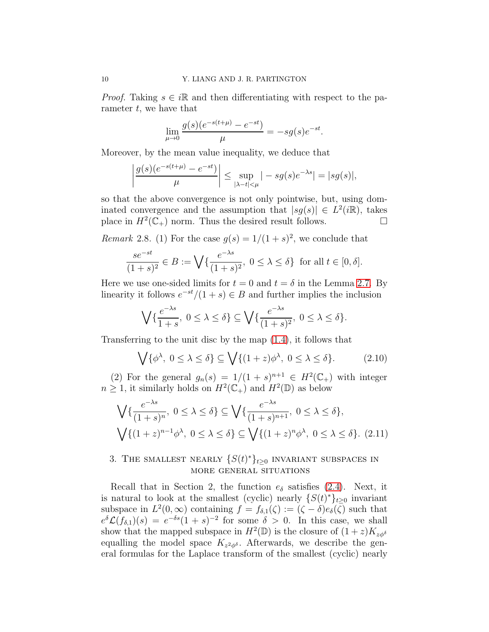*Proof.* Taking  $s \in i\mathbb{R}$  and then differentiating with respect to the parameter  $t$ , we have that

$$
\lim_{\mu \to 0} \frac{g(s)(e^{-s(t+\mu)} - e^{-st})}{\mu} = -sg(s)e^{-st}.
$$

Moreover, by the mean value inequality, we deduce that

$$
\left|\frac{g(s)(e^{-s(t+\mu)}-e^{-st})}{\mu}\right| \le \sup_{|\lambda-t|<\mu} |-sg(s)e^{-\lambda s}| = |sg(s)|,
$$

so that the above convergence is not only pointwise, but, using dominated convergence and the assumption that  $|sg(s)| \in L^2(i\mathbb{R})$ , takes place in  $H^2(\mathbb{C}_+)$  norm. Thus the desired result follows.

*Remark* 2.8. (1) For the case  $g(s) = 1/(1+s)^2$ , we conclude that

$$
\frac{se^{-st}}{(1+s)^2} \in B := \bigvee \{ \frac{e^{-\lambda s}}{(1+s)^2}, \ 0 \le \lambda \le \delta \} \text{ for all } t \in [0, \delta].
$$

Here we use one-sided limits for  $t = 0$  and  $t = \delta$  in the Lemma [2.7.](#page-8-3) By linearity it follows  $e^{-st}/(1+s) \in B$  and further implies the inclusion

$$
\bigvee \{ \frac{e^{-\lambda s}}{1+s}, \ 0 \leq \lambda \leq \delta \} \subseteq \bigvee \{ \frac{e^{-\lambda s}}{(1+s)^2}, \ 0 \leq \lambda \leq \delta \}.
$$

Transferring to the unit disc by the map [\(1.4\)](#page-2-0), it follows that

<span id="page-9-0"></span>
$$
\bigvee \{ \phi^{\lambda}, \ 0 \le \lambda \le \delta \} \subseteq \bigvee \{ (1+z)\phi^{\lambda}, \ 0 \le \lambda \le \delta \}. \tag{2.10}
$$

(2) For the general  $g_n(s) = 1/(1+s)^{n+1} \in H^2(\mathbb{C}_+)$  with integer  $n \geq 1$ , it similarly holds on  $H^2(\mathbb{C}_+)$  and  $H^2(\mathbb{D})$  as below

<span id="page-9-1"></span>
$$
\bigvee \{ \frac{e^{-\lambda s}}{(1+s)^n}, \ 0 \le \lambda \le \delta \} \subseteq \bigvee \{ \frac{e^{-\lambda s}}{(1+s)^{n+1}}, \ 0 \le \lambda \le \delta \},
$$

$$
\bigvee \{ (1+z)^{n-1} \phi^{\lambda}, \ 0 \le \lambda \le \delta \} \subseteq \bigvee \{ (1+z)^n \phi^{\lambda}, \ 0 \le \lambda \le \delta \}. \tag{2.11}
$$

# 3. THE SMALLEST NEARLY  $\{S(t)^*\}_{t\geq 0}$  INVARIANT SUBSPACES IN more general situations

Recall that in Section 2, the function  $e_{\delta}$  satisfies [\(2.4\)](#page-7-4). Next, it is natural to look at the smallest (cyclic) nearly  $\{S(t)^*\}_{t\geq 0}$  invariant subspace in  $L^2(0, \infty)$  containing  $f = f_{\delta,1}(\zeta) := (\zeta - \delta)e_{\delta}(\zeta)$  such that  $e^{\delta}\mathcal{L}(f_{\delta,1})(s) = e^{-\delta s}(1+s)^{-2}$  for some  $\delta > 0$ . In this case, we shall show that the mapped subspace in  $H^2(\mathbb{D})$  is the closure of  $(1+z)K_{z\phi^{\delta}}$ equalling the model space  $K_{z^2\phi^{\delta}}$ . Afterwards, we describe the general formulas for the Laplace transform of the smallest (cyclic) nearly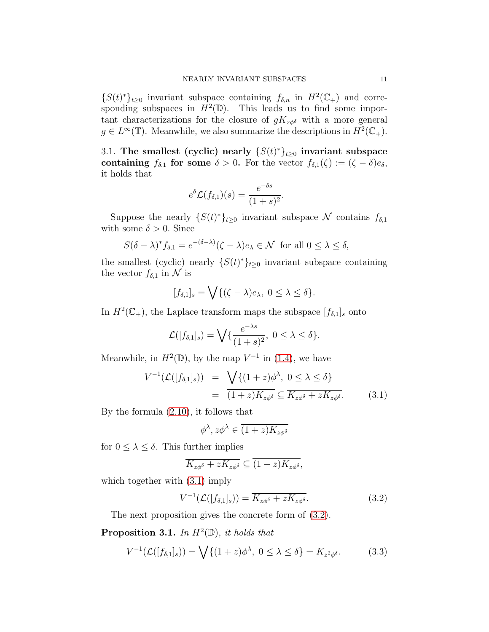$\{S(t)\}_{t\geq 0}$  invariant subspace containing  $f_{\delta,n}$  in  $H^2(\mathbb{C}_+)$  and corresponding subspaces in  $H^2(\mathbb{D})$ . This leads us to find some important characterizations for the closure of  $gK_{z\phi\delta}$  with a more general  $g \in L^{\infty}(\mathbb{T})$ . Meanwhile, we also summarize the descriptions in  $H^2(\mathbb{C}_+)$ .

3.1. The smallest (cyclic) nearly  $\{S(t)^*\}_{t\geq 0}$  invariant subspace containing  $f_{\delta,1}$  for some  $\delta > 0$ . For the vector  $f_{\delta,1}(\zeta) := (\zeta - \delta)e_{\delta}$ , it holds that

$$
e^{\delta} \mathcal{L}(f_{\delta,1})(s) = \frac{e^{-\delta s}}{(1+s)^2}.
$$

Suppose the nearly  $\{S(t)^*\}_{t\geq 0}$  invariant subspace N contains  $f_{\delta,1}$ with some  $\delta > 0$ . Since

$$
S(\delta - \lambda)^* f_{\delta,1} = e^{-(\delta - \lambda)} (\zeta - \lambda) e_\lambda \in \mathcal{N} \text{ for all } 0 \le \lambda \le \delta,
$$

the smallest (cyclic) nearly  $\{S(t)^*\}_{t\geq 0}$  invariant subspace containing the vector  $f_{\delta,1}$  in N is

$$
[f_{\delta,1}]_s = \bigvee \{ (\zeta - \lambda)e_\lambda, 0 \le \lambda \le \delta \}.
$$

In  $H^2(\mathbb{C}_+)$ , the Laplace transform maps the subspace  $[f_{\delta,1}]_s$  onto

$$
\mathcal{L}([f_{\delta,1}]_s) = \bigvee \{ \frac{e^{-\lambda s}}{(1+s)^2}, \ 0 \leq \lambda \leq \delta \}.
$$

Meanwhile, in  $H^2(\mathbb{D})$ , by the map  $V^{-1}$  in [\(1.4\)](#page-2-0), we have

<span id="page-10-0"></span>
$$
V^{-1}(\mathcal{L}([f_{\delta,1}]_s)) = \sqrt{\{(1+z)\phi^{\lambda}, 0 \le \lambda \le \delta\}}
$$
  
= 
$$
\overline{(1+z)K_{z\phi^{\delta}}} \subseteq \overline{K_{z\phi^{\delta}} + zK_{z\phi^{\delta}}}.
$$
 (3.1)

By the formula [\(2.10\)](#page-9-0), it follows that

$$
\phi^\lambda, z\phi^\lambda\in \overline{(1+z)K_{z\phi^\delta}}
$$

for  $0 \leq \lambda \leq \delta$ . This further implies

$$
\overline{K_{z\phi^{\delta}}+zK_{z\phi^{\delta}}} \subseteq \overline{(1+z)K_{z\phi^{\delta}}},
$$

which together with  $(3.1)$  imply

<span id="page-10-1"></span>
$$
V^{-1}(\mathcal{L}([f_{\delta,1}]_s)) = \overline{K_{z\phi^{\delta}} + zK_{z\phi^{\delta}}}.
$$
\n(3.2)

The next proposition gives the concrete form of [\(3.2\)](#page-10-1).

<span id="page-10-3"></span>**Proposition 3.1.** In  $H^2(\mathbb{D})$ , it holds that

<span id="page-10-2"></span>
$$
V^{-1}(\mathcal{L}([f_{\delta,1}]_s)) = \bigvee \{ (1+z)\phi^{\lambda}, \ 0 \le \lambda \le \delta \} = K_{z^2\phi^{\delta}}.
$$
 (3.3)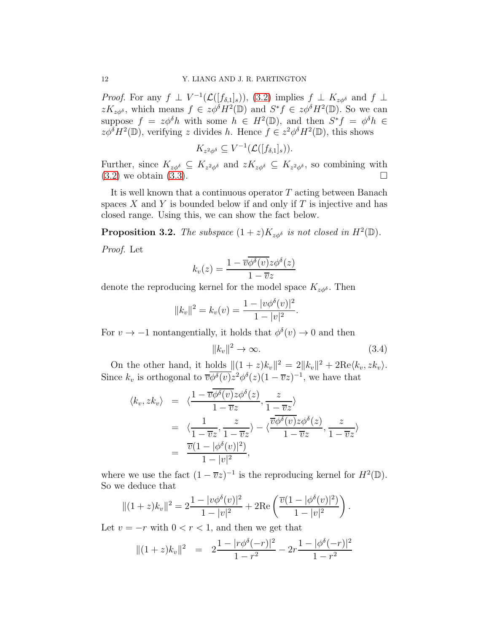*Proof.* For any  $f \perp V^{-1}(\mathcal{L}([f_{\delta,1}]_s)),$  [\(3.2\)](#page-10-1) implies  $f \perp K_{z\phi^{\delta}}$  and  $f \perp$  $zK_{z\phi\delta}$ , which means  $f \in z\phi^{\delta}H^2(\mathbb{D})$  and  $S^*f \in z\phi^{\delta}H^2(\mathbb{D})$ . So we can suppose  $f = z\phi^{\delta}h$  with some  $h \in H^2(\mathbb{D})$ , and then  $S^*f = \phi^{\delta}h \in$  $z\phi^{\delta}H^2(\mathbb{D})$ , verifying z divides h. Hence  $f \in z^2\phi^{\delta}H^2(\mathbb{D})$ , this shows

$$
K_{z^2\phi^{\delta}}\subseteq V^{-1}(\mathcal{L}([f_{\delta,1}]_s)).
$$

Further, since  $K_{z\phi\delta} \subseteq K_{z^2\phi\delta}$  and  $zK_{z\phi\delta} \subseteq K_{z^2\phi\delta}$ , so combining with  $(3.2)$  we obtain  $(3.3)$ .

It is well known that a continuous operator  $T$  acting between Banach spaces  $X$  and  $Y$  is bounded below if and only if  $T$  is injective and has closed range. Using this, we can show the fact below.

**Proposition 3.2.** The subspace  $(1 + z)K_{z\phi^{\delta}}$  is not closed in  $H^{2}(\mathbb{D})$ .

Proof. Let

$$
k_v(z) = \frac{1 - \overline{v}\phi^{\delta}(v)z\phi^{\delta}(z)}{1 - \overline{v}z}
$$

denote the reproducing kernel for the model space  $K_{z\phi\delta}$ . Then

$$
||k_v||^2 = k_v(v) = \frac{1 - |v\phi^{\delta}(v)|^2}{1 - |v|^2}.
$$

For  $v \to -1$  nontangentially, it holds that  $\phi^{\delta}(v) \to 0$  and then

<span id="page-11-0"></span>
$$
||k_v||^2 \to \infty. \tag{3.4}
$$

On the other hand, it holds  $||(1+z)k_v||^2 = 2||k_v||^2 + 2\text{Re}\langle k_v, zk_v \rangle$ . Since  $k_v$  is orthogonal to  $\overline{v\phi^{\delta}(v)}z^2\phi^{\delta}(z)(1-\overline{v}z)^{-1}$ , we have that

$$
\langle k_v, zk_v \rangle = \langle \frac{1 - \overline{v} \overline{\phi^{\delta}(v)} z \phi^{\delta}(z)}{1 - \overline{v} z}, \frac{z}{1 - \overline{v} z} \rangle
$$
  
= 
$$
\langle \frac{1}{1 - \overline{v} z}, \frac{z}{1 - \overline{v} z} \rangle - \langle \frac{\overline{v} \overline{\phi^{\delta}(v)} z \phi^{\delta}(z)}{1 - \overline{v} z}, \frac{z}{1 - \overline{v} z} \rangle
$$
  
= 
$$
\frac{\overline{v} (1 - |\phi^{\delta}(v)|^2)}{1 - |v|^2},
$$

where we use the fact  $(1 - \overline{v}z)^{-1}$  is the reproducing kernel for  $H^2(\mathbb{D})$ . So we deduce that

$$
||(1+z)k_v||^2 = 2\frac{1-|v\phi^{\delta}(v)|^2}{1-|v|^2} + 2\text{Re}\left(\frac{\overline{v}(1-|\phi^{\delta}(v)|^2)}{1-|v|^2}\right).
$$

Let  $v = -r$  with  $0 < r < 1$ , and then we get that

<span id="page-11-1"></span>
$$
||(1+z)k_v||^2 = 2\frac{1-|r\phi^{\delta}(-r)|^2}{1-r^2} - 2r\frac{1-|\phi^{\delta}(-r)|^2}{1-r^2}
$$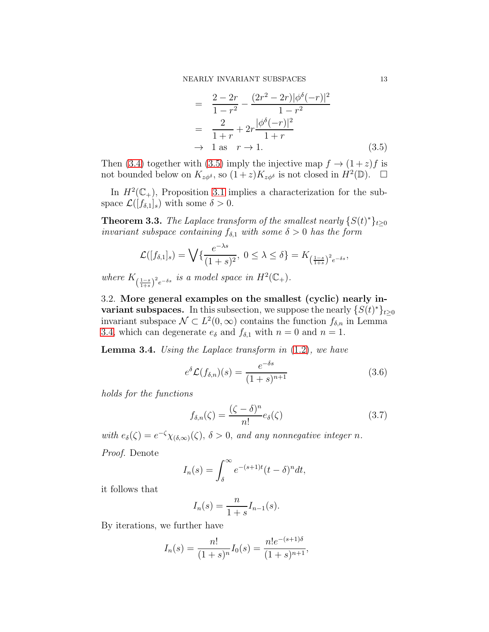$$
= \frac{2 - 2r}{1 - r^2} - \frac{(2r^2 - 2r)|\phi^{\delta}(-r)|^2}{1 - r^2} \n= \frac{2}{1 + r} + 2r \frac{|\phi^{\delta}(-r)|^2}{1 + r} \n\to 1 \text{ as } r \to 1.
$$
\n(3.5)

Then [\(3.4\)](#page-11-0) together with [\(3.5\)](#page-11-1) imply the injective map  $f \rightarrow (1+z)f$  is not bounded below on  $K_{z\phi\delta}$ , so  $(1+z)K_{z\phi\delta}$  is not closed in  $H^2(\mathbb{D})$ .  $\Box$ 

In  $H^2(\mathbb{C}_+)$ , Proposition [3.1](#page-10-3) implies a characterization for the subspace  $\mathcal{L}([f_{\delta,1}]_s)$  with some  $\delta > 0$ .

**Theorem 3.3.** The Laplace transform of the smallest nearly  $\{S(t)^*\}_{t\geq 0}$ invariant subspace containing  $f_{\delta,1}$  with some  $\delta > 0$  has the form

$$
\mathcal{L}([f_{\delta,1}]_s) = \bigvee \{ \frac{e^{-\lambda s}}{(1+s)^2}, \ 0 \le \lambda \le \delta \} = K_{\left(\frac{1-s}{1+s}\right)^2 e^{-\delta s}},
$$

where  $K_{\left(\frac{1-s}{1+s}\right)^2 e^{-\delta s}}$  is a model space in  $H^2(\mathbb{C}_+).$ 

3.2. More general examples on the smallest (cyclic) nearly invariant subspaces. In this subsection, we suppose the nearly  $\{S(t)^*\}_{t\geq 0}$ invariant subspace  $\mathcal{N} \subset L^2(0, \infty)$  contains the function  $f_{\delta,n}$  in Lemma [3.4,](#page-12-0) which can degenerate  $e_{\delta}$  and  $f_{\delta,1}$  with  $n = 0$  and  $n = 1$ .

<span id="page-12-0"></span>**Lemma 3.4.** Using the Laplace transform in  $(1.2)$ , we have

<span id="page-12-1"></span>
$$
e^{\delta} \mathcal{L}(f_{\delta,n})(s) = \frac{e^{-\delta s}}{(1+s)^{n+1}}
$$
(3.6)

holds for the functions

<span id="page-12-2"></span>
$$
f_{\delta,n}(\zeta) = \frac{(\zeta - \delta)^n}{n!} e_{\delta}(\zeta)
$$
 (3.7)

with  $e_{\delta}(\zeta) = e^{-\zeta} \chi_{(\delta, \infty)}(\zeta), \delta > 0$ , and any nonnegative integer n.

Proof. Denote

$$
I_n(s) = \int_{\delta}^{\infty} e^{-(s+1)t} (t-\delta)^n dt,
$$

it follows that

$$
I_n(s) = \frac{n}{1+s} I_{n-1}(s).
$$

By iterations, we further have

$$
I_n(s) = \frac{n!}{(1+s)^n} I_0(s) = \frac{n!e^{-(s+1)\delta}}{(1+s)^{n+1}},
$$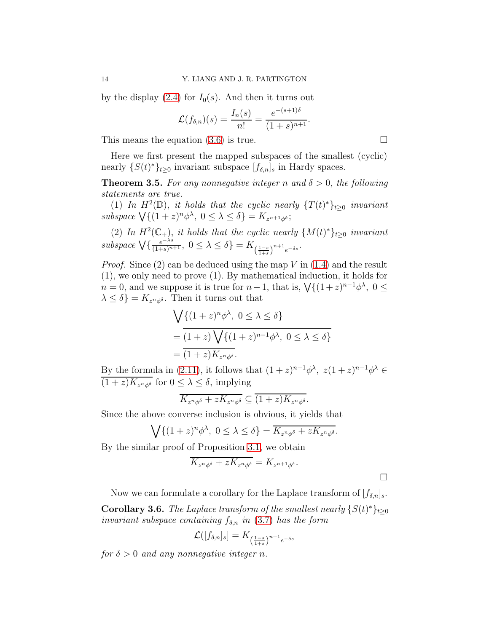by the display  $(2.4)$  for  $I_0(s)$ . And then it turns out

$$
\mathcal{L}(f_{\delta,n})(s) = \frac{I_n(s)}{n!} = \frac{e^{-(s+1)\delta}}{(1+s)^{n+1}}.
$$

This means the equation  $(3.6)$  is true.

Here we first present the mapped subspaces of the smallest (cyclic) nearly  $\{S(t)^*\}_{t\geq 0}$  invariant subspace  $[f_{\delta,n}]_s$  in Hardy spaces.

<span id="page-13-0"></span>**Theorem 3.5.** For any nonnegative integer n and  $\delta > 0$ , the following statements are true.

(1) In  $H^2(\mathbb{D})$ , it holds that the cyclic nearly  $\{T(t)^*\}_{t\geq 0}$  invariant subspace  $\bigvee \{(1+z)^n \phi^{\lambda}, 0 \leq \lambda \leq \delta\} = K_{z^{n+1}\phi^{\delta}};$ 

(2) In  $H^2(\mathbb{C}_+)$ , it holds that the cyclic nearly  $\{M(t)^*\}_{t\geq 0}$  invariant subspace  $\bigvee\{\frac{e^{-\lambda s}}{(1+s)^{n+1}},\ 0\leq\lambda\leq\delta\}=K_{\left(\frac{1-s}{1+s}\right)^{n+1}e^{-\delta s}}.$ 

*Proof.* Since  $(2)$  can be deduced using the map V in  $(1.4)$  and the result (1), we only need to prove (1). By mathematical induction, it holds for  $n = 0$ , and we suppose it is true for  $n - 1$ , that is,  $\sqrt{(1 + z)^{n-1}}\phi^{\lambda}$ ,  $0 \leq$  $\lambda \leq \delta$ } =  $K_{z^n\phi^\delta}$ . Then it turns out that

$$
\sqrt{\{(1+z)^n \phi^{\lambda}, 0 \le \lambda \le \delta\}}
$$
  
= 
$$
\overline{(1+z)\sqrt{\{(1+z)^{n-1} \phi^{\lambda}, 0 \le \lambda \le \delta\}}}
$$
  
= 
$$
\overline{(1+z)K_{z^n \phi^{\delta}}}.
$$

By the formula in [\(2.11\)](#page-9-1), it follows that  $(1+z)^{n-1}\phi^{\lambda}$ ,  $z(1+z)^{n-1}\phi^{\lambda} \in$  $\overline{(1+z)K_{z^n\phi^{\delta}}}$  for  $0 \leq \lambda \leq \delta$ , implying

$$
\overline{K_{z^n\phi^{\delta}}+zK_{z^n\phi^{\delta}}} \subseteq \overline{(1+z)K_{z^n\phi^{\delta}}}.
$$

Since the above converse inclusion is obvious, it yields that

$$
\bigvee \{ (1+z)^n \phi^{\lambda}, \ 0 \le \lambda \le \delta \} = \overline{K_{z^n \phi^{\delta}} + zK_{z^n \phi^{\delta}}}.
$$

By the similar proof of Proposition [3.1,](#page-10-3) we obtain

$$
\overline{K_{z^n\phi^{\delta}} + zK_{z^n\phi^{\delta}}} = K_{z^{n+1}\phi^{\delta}}.
$$

Now we can formulate a corollary for the Laplace transform of  $[f_{\delta,n}]_s$ .

**Corollary 3.6.** The Laplace transform of the smallest nearly  $\{S(t)^*\}_{t\geq 0}$ invariant subspace containing  $f_{\delta,n}$  in [\(3.7\)](#page-12-2) has the form

$$
\mathcal{L}([f_{\delta,n}]_s] = K_{\left(\frac{1-s}{1+s}\right)^{n+1}e^{-\delta s}}
$$

for  $\delta > 0$  and any nonnegative integer n.

 $\Box$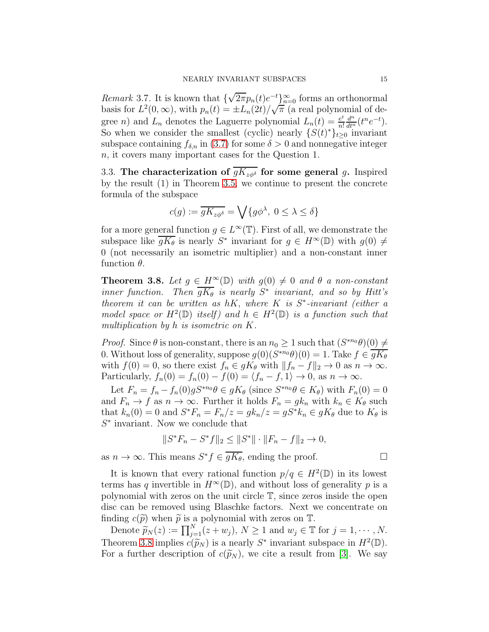*Remark* 3.7. It is known that  $\{\sqrt{2\pi}p_n(t)e^{-t}\}_{n=0}^{\infty}$  forms an orthonormal basis for  $L^2(0,\infty)$ , with  $p_n(t) = \pm L_n(2t)/\sqrt{\pi}$  (a real polynomial of degree *n*) and  $L_n$  denotes the Laguerre polynomial  $L_n(t) = \frac{e^t}{n!}$ n!  $\frac{d^n}{dt^n}(t^n e^{-t}).$ So when we consider the smallest (cyclic) nearly  $\{S(t)^*\}_{t\geq 0}$  invariant subspace containing  $f_{\delta,n}$  in [\(3.7\)](#page-12-2) for some  $\delta > 0$  and nonnegative integer n, it covers many important cases for the Question 1.

3.3. The characterization of  $gK_{z\phi\delta}$  for some general g. Inspired by the result (1) in Theorem [3.5,](#page-13-0) we continue to present the concrete formula of the subspace

$$
c(g) := \overline{gK_{z\phi^{\delta}}} = \bigvee \{g\phi^{\lambda}, \ 0 \leq \lambda \leq \delta\}
$$

for a more general function  $g \in L^{\infty}(\mathbb{T})$ . First of all, we demonstrate the subspace like  $\overline{gK_{\theta}}$  is nearly  $S^*$  invariant for  $g \in H^{\infty}(\mathbb{D})$  with  $g(0) \neq$ 0 (not necessarily an isometric multiplier) and a non-constant inner function  $\theta$ .

<span id="page-14-0"></span>**Theorem 3.8.** Let  $g \in H^{\infty}(\mathbb{D})$  with  $g(0) \neq 0$  and  $\theta$  a non-constant inner function. Then  $\overline{gK_{\theta}}$  is nearly  $S^*$  invariant, and so by Hitt's theorem it can be written as  $hK$ , where K is  $S^*$ -invariant (either a model space or  $H^2(\mathbb{D})$  itself) and  $h \in H^2(\mathbb{D})$  is a function such that multiplication by h is isometric on K.

*Proof.* Since  $\theta$  is non-constant, there is an  $n_0 \geq 1$  such that  $(S^{*n_0}\theta)(0) \neq$ 0. Without loss of generality, suppose  $g(0)(S^{*n_0}\theta)(0) = 1$ . Take  $f \in \overline{gK_\theta}$ with  $f(0) = 0$ , so there exist  $f_n \in gK_\theta$  with  $||f_n - f||_2 \to 0$  as  $n \to \infty$ . Particularly,  $f_n(0) = f_n(0) - f(0) = \langle f_n - f, 1 \rangle \to 0$ , as  $n \to \infty$ .

Let  $F_n = f_n - f_n(0)gS^{*n_0}\theta \in gK_\theta$  (since  $S^{*n_0}\theta \in K_\theta$ ) with  $F_n(0) = 0$ and  $F_n \to f$  as  $n \to \infty$ . Further it holds  $F_n = g k_n$  with  $k_n \in K_\theta$  such that  $k_n(0) = 0$  and  $S^*F_n = F_n/z = g k_n/z = g S^* k_n \in g K_\theta$  due to  $K_\theta$  is  $S^*$  invariant. Now we conclude that

$$
||S^*F_n - S^*f||_2 \le ||S^*|| \cdot ||F_n - f||_2 \to 0,
$$

as  $n \to \infty$ . This means  $S^* f \in \overline{gK_{\theta}}$ , ending the proof.

It is known that every rational function  $p/q \in H^2(\mathbb{D})$  in its lowest terms has q invertible in  $H^{\infty}(\mathbb{D})$ , and without loss of generality p is a polynomial with zeros on the unit circle T, since zeros inside the open disc can be removed using Blaschke factors. Next we concentrate on finding  $c(\tilde{p})$  when  $\tilde{p}$  is a polynomial with zeros on T.

Denote  $\widetilde{p}_N(z) := \prod_{j=1}^N (z+w_j), N \ge 1$  and  $w_j \in \mathbb{T}$  for  $j = 1, \dots, N$ . Theorem [3.8](#page-14-0) implies  $c(\widetilde{p}_N)$  is a nearly  $S^*$  invariant subspace in  $H^2(\mathbb{D})$ . For a further description of  $c(\widetilde{p}_N)$ , we cite a result from [\[3\]](#page-18-9). We say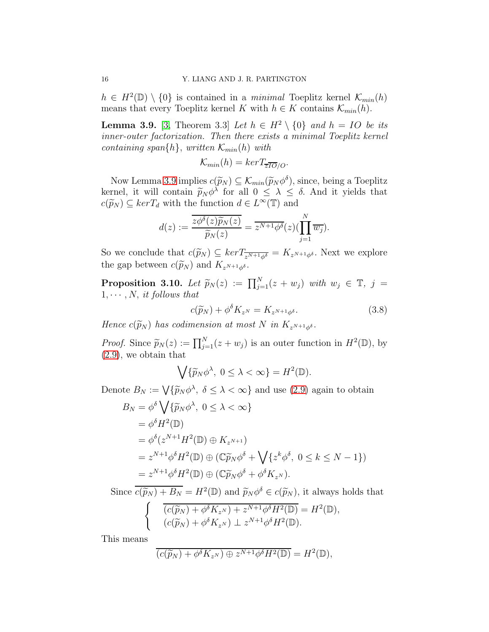$h \in H^2(\mathbb{D}) \setminus \{0\}$  is contained in a minimal Toeplitz kernel  $\mathcal{K}_{min}(h)$ means that every Toeplitz kernel K with  $h \in K$  contains  $\mathcal{K}_{min}(h)$ .

<span id="page-15-0"></span>**Lemma 3.9.** [\[3,](#page-18-9) Theorem 3.3] Let  $h \in H^2 \setminus \{0\}$  and  $h = IO$  be its inner-outer factorization. Then there exists a minimal Toeplitz kernel containing span $\{h\}$ , written  $\mathcal{K}_{min}(h)$  with

$$
\mathcal{K}_{min}(h) = kerT_{\overline{z}\overline{IO}/O}.
$$

Now Lemma [3.9](#page-15-0) implies  $c(\widetilde{p}_N) \subseteq \mathcal{K}_{min}(\widetilde{p}_N \phi^{\delta})$ , since, being a Toeplitz kernel, it will contain  $\widetilde{p}_N \phi^{\lambda}$  for all  $0 \leq \lambda \leq \delta$ . And it yields that  $c(\widetilde{p}_N) \subseteq kerT_d$  with the function  $d \in L^{\infty}(\mathbb{T})$  and

$$
d(z) := \frac{\overline{z\phi^{\delta}(z)\widetilde{p}_N(z)}}{\widetilde{p}_N(z)} = \overline{z^{N+1}\phi^{\delta}(z)}\left(\prod_{j=1}^N \overline{w_j}\right).
$$

So we conclude that  $c(\widetilde{p}_N) \subseteq \ker T_{\overline{z^{N+1}\phi^{\delta}}} = K_{z^{N+1}\phi^{\delta}}$ . Next we explore the gap between  $c(\widetilde{p}_N)$  and  $K_{z^{N+1}\phi^{\delta}}$ .

<span id="page-15-2"></span>**Proposition 3.10.** Let  $\widetilde{p}_N(z) := \prod_{j=1}^N (z+w_j)$  with  $w_j \in \mathbb{T}$ ,  $j =$  $1, \cdots, N$ , it follows that

<span id="page-15-1"></span>
$$
c(\widetilde{p}_N) + \phi^{\delta} K_{z^N} = K_{z^{N+1}\phi^{\delta}}.
$$
\n(3.8)

Hence  $c(\widetilde{p}_N)$  has codimension at most N in  $K_{z^{N+1}\phi^{\delta}}$ .

*Proof.* Since  $\widetilde{p}_N(z) := \prod_{j=1}^N (z+w_j)$  is an outer function in  $H^2(\mathbb{D})$ , by [\(2.9\)](#page-8-4), we obtain that

$$
\bigvee \{ \widetilde{p}_N \phi^{\lambda}, \ 0 \leq \lambda < \infty \} = H^2(\mathbb{D}).
$$

Denote  $B_N := \bigvee {\{\widetilde{p}_N \phi^{\lambda}, \ \delta \leq \lambda < \infty\}}$  and use [\(2.9\)](#page-8-4) again to obtain

$$
B_N = \phi^{\delta} \bigvee \{ \widetilde{p}_N \phi^{\lambda}, 0 \le \lambda < \infty \}
$$
  
\n
$$
= \phi^{\delta} H^2(\mathbb{D})
$$
  
\n
$$
= \phi^{\delta} (z^{N+1} H^2(\mathbb{D}) \oplus K_{z^{N+1}})
$$
  
\n
$$
= z^{N+1} \phi^{\delta} H^2(\mathbb{D}) \oplus (\mathbb{C} \widetilde{p}_N \phi^{\delta} + \bigvee \{ z^k \phi^{\delta}, 0 \le k \le N - 1 \})
$$
  
\n
$$
= z^{N+1} \phi^{\delta} H^2(\mathbb{D}) \oplus (\mathbb{C} \widetilde{p}_N \phi^{\delta} + \phi^{\delta} K_{z^N}).
$$

Since  $\overline{c(\widetilde{p}_N) + B_N} = H^2(\mathbb{D})$  and  $\widetilde{p}_N \phi^{\delta} \in c(\widetilde{p}_N)$ , it always holds that

$$
\begin{cases}\n\overline{(c(\widetilde{p}_N) + \phi^{\delta}K_{z^N}) + z^{N+1}\phi^{\delta}H^2(\mathbb{D})} = H^2(\mathbb{D}), \\
(c(\widetilde{p}_N) + \phi^{\delta}K_{z^N}) \perp z^{N+1}\phi^{\delta}H^2(\mathbb{D}).\n\end{cases}
$$

This means

$$
(c(\widetilde{p}_N) + \phi^{\delta} K_{z^N}) \oplus z^{N+1} \phi^{\delta} H^2(\mathbb{D}) = H^2(\mathbb{D}),
$$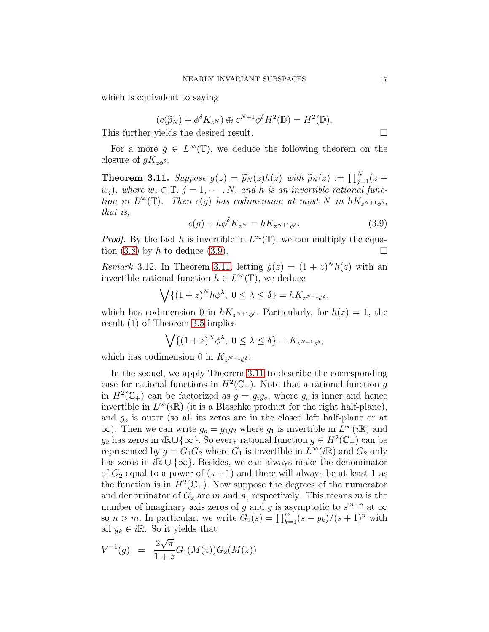which is equivalent to saying

$$
(c(\widetilde{p}_N) + \phi^{\delta} K_{z^N}) \oplus z^{N+1} \phi^{\delta} H^2(\mathbb{D}) = H^2(\mathbb{D}).
$$

This further yields the desired result.  $\Box$ 

For a more  $g \in L^{\infty}(\mathbb{T})$ , we deduce the following theorem on the closure of  $gK_{z\phi\delta}$ .

<span id="page-16-1"></span>**Theorem 3.11.** Suppose  $g(z) = \widetilde{p}_N(z)h(z)$  with  $\widetilde{p}_N(z) := \prod_{j=1}^N (z +$  $(w_j)$ , where  $w_j \in \mathbb{T}$ ,  $j = 1, \cdots, N$ , and h is an invertible rational function in  $L^{\infty}(\mathbb{T})$ . Then c(g) has codimension at most N in  $hK_{z^{N+1}\phi^{\delta}}$ , that is,

<span id="page-16-0"></span>
$$
c(g) + h\phi^{\delta} K_{z^N} = hK_{z^{N+1}\phi^{\delta}}.
$$
\n(3.9)

*Proof.* By the fact h is invertible in  $L^{\infty}(\mathbb{T})$ , we can multiply the equa-tion [\(3.8\)](#page-15-1) by h to deduce [\(3.9\)](#page-16-0).

*Remark* 3.12. In Theorem [3.11,](#page-16-1) letting  $g(z) = (1 + z)^N h(z)$  with an invertible rational function  $h \in L^{\infty}(\mathbb{T})$ , we deduce

$$
\bigvee \{ (1+z)^N h\phi^{\lambda}, \ 0 \leq \lambda \leq \delta \} = hK_{z^{N+1}\phi^{\delta}},
$$

which has codimension 0 in  $hK_{zN+1\phi\delta}$ . Particularly, for  $h(z) = 1$ , the result (1) of Theorem [3.5](#page-13-0) implies

$$
\bigvee \{ (1+z)^N \phi^{\lambda}, \ 0 \le \lambda \le \delta \} = K_{z^{N+1} \phi^{\delta}},
$$

which has codimension 0 in  $K_{z^{N+1}\phi^{\delta}}$ .

In the sequel, we apply Theorem [3.11](#page-16-1) to describe the corresponding case for rational functions in  $H^2(\mathbb{C}_+)$ . Note that a rational function g in  $H^2(\mathbb{C}_+)$  can be factorized as  $g = g_i g_o$ , where  $g_i$  is inner and hence invertible in  $L^{\infty}(i\mathbb{R})$  (it is a Blaschke product for the right half-plane), and  $g<sub>o</sub>$  is outer (so all its zeros are in the closed left half-plane or at  $\infty$ ). Then we can write  $g_0 = g_1 g_2$  where  $g_1$  is invertible in  $L^{\infty}(i\mathbb{R})$  and g<sub>2</sub> has zeros in *i*R∪{∞}. So every rational function  $g \in H^2(\mathbb{C}_+)$  can be represented by  $g = G_1 \tilde{G}_2$  where  $G_1$  is invertible in  $L^{\infty}(i\mathbb{R})$  and  $G_2$  only has zeros in  $i\mathbb{R} \cup {\infty}$ . Besides, we can always make the denominator of  $G_2$  equal to a power of  $(s + 1)$  and there will always be at least 1 as the function is in  $H^2(\mathbb{C}_+)$ . Now suppose the degrees of the numerator and denominator of  $G_2$  are m and n, respectively. This means m is the number of imaginary axis zeros of g and g is asymptotic to  $s^{m-n}$  at  $\infty$ so  $n > m$ . In particular, we write  $G_2(s) = \prod_{k=1}^m (s - y_k)/(s + 1)^n$  with all  $y_k \in i\mathbb{R}$ . So it yields that

$$
V^{-1}(g) = \frac{2\sqrt{\pi}}{1+z}G_1(M(z))G_2(M(z))
$$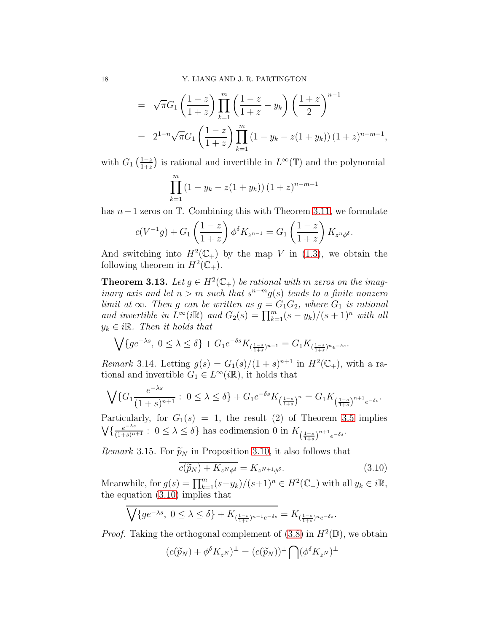$$
= \sqrt{\pi}G_1 \left(\frac{1-z}{1+z}\right) \prod_{k=1}^m \left(\frac{1-z}{1+z} - y_k\right) \left(\frac{1+z}{2}\right)^{n-1}
$$
  
=  $2^{1-n} \sqrt{\pi}G_1 \left(\frac{1-z}{1+z}\right) \prod_{k=1}^m (1 - y_k - z(1+y_k)) (1+z)^{n-m-1},$ 

with  $G_1\left(\frac{1-z}{1+z}\right)$  $\frac{1-z}{1+z}$  is rational and invertible in  $L^{\infty}(\mathbb{T})$  and the polynomial

$$
\prod_{k=1}^{m} (1 - y_k - z(1 + y_k)) (1 + z)^{n-m-1}
$$

has  $n-1$  zeros on  $\mathbb T$ . Combining this with Theorem [3.11,](#page-16-1) we formulate

$$
c(V^{-1}g) + G_1\left(\frac{1-z}{1+z}\right)\phi^{\delta}K_{z^{n-1}} = G_1\left(\frac{1-z}{1+z}\right)K_{z^n\phi^{\delta}}.
$$

And switching into  $H^2(\mathbb{C}_+)$  by the map V in [\(1.3\)](#page-2-2), we obtain the following theorem in  $H^2(\mathbb{C}_+).$ 

**Theorem 3.13.** Let  $g \in H^2(\mathbb{C}_+)$  be rational with m zeros on the imaginary axis and let  $n > m$  such that  $s^{n-m}g(s)$  tends to a finite nonzero limit at  $\infty$ . Then g can be written as  $g = G_1 G_2$ , where  $G_1$  is rational and invertible in  $\bar{L}^{\infty}(i\mathbb{R})$  and  $G_2(s) = \prod_{k=1}^m (s - y_k)/(s + 1)^n$  with all  $y_k \in i\mathbb{R}$ . Then it holds that

$$
\bigvee \{g e^{-\lambda s}, \ 0 \leq \lambda \leq \delta \} + G_1 e^{-\delta s} K_{(\frac{1-s}{1+s})^{n-1}} = G_1 K_{(\frac{1-s}{1+s})^n e^{-\delta s}}.
$$

*Remark* 3.14. Letting  $g(s) = G_1(s)/(1+s)^{n+1}$  in  $H^2(\mathbb{C}_+)$ , with a rational and invertible  $G_1 \in L^{\infty}(i\mathbb{R})$ , it holds that

$$
\bigvee\{G_1\frac{e^{-\lambda s}}{(1+s)^{n+1}}:\ 0\leq\lambda\leq\delta\}+G_1e^{-\delta s}K_{\left(\frac{1-s}{1+s}\right)^n}=G_1K_{\left(\frac{1-s}{1+s}\right)^{n+1}e^{-\delta s}}.
$$

Particularly, for  $G_1(s) = 1$ , the result (2) of Theorem [3.5](#page-13-0) implies  $\bigvee \{ \frac{e^{-\lambda s}}{(1+s)^{n+1}} : 0 \leq \lambda \leq \delta \}$  has codimension 0 in  $K_{\left(\frac{1-s}{1+s}\right)^{n+1}e^{-\delta s}}$ .

Remark 3.15. For  $\widetilde{p}_N$  in Proposition [3.10,](#page-15-2) it also follows that

<span id="page-17-0"></span>
$$
c(\widetilde{p}_N) + K_{z^N \phi^\delta} = K_{z^{N+1} \phi^\delta}.
$$
\n(3.10)

Meanwhile, for  $g(s) = \prod_{k=1}^{m} (s - y_k)/(s+1)^n \in H^2(\mathbb{C}_+)$  with all  $y_k \in i\mathbb{R}$ , the equation [\(3.10\)](#page-17-0) implies that

$$
\overline{\bigvee\{ge^{-\lambda s},\ 0\le\lambda\le\delta\}+K_{(\frac{1-s}{1+s})^{n-1}e^{-\delta s}}}=K_{(\frac{1-s}{1+s})^ne^{-\delta s}}.
$$

*Proof.* Taking the orthogonal complement of [\(3.8\)](#page-15-1) in  $H^2(\mathbb{D})$ , we obtain

$$
(c(\widetilde{p}_N) + \phi^{\delta} K_{z^N})^{\perp} = (c(\widetilde{p}_N))^{\perp} \bigcap (\phi^{\delta} K_{z^N})^{\perp}
$$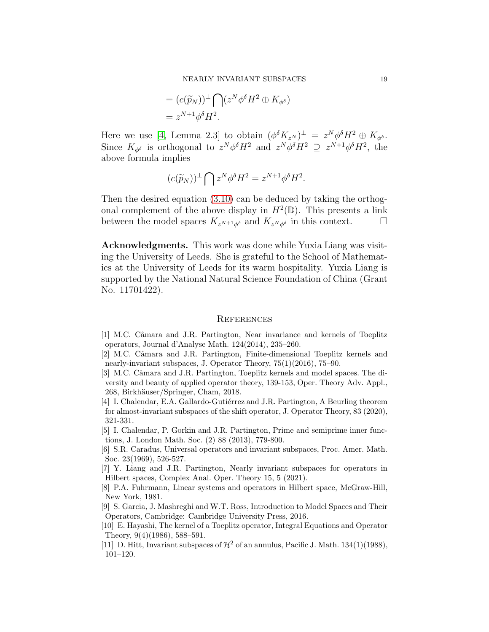$$
= (c(\widetilde{p}_N))^{\perp} \bigcap (z^N \phi^{\delta} H^2 \oplus K_{\phi^{\delta}})
$$
  
=  $z^{N+1} \phi^{\delta} H^2$ .

Here we use [\[4,](#page-18-10) Lemma 2.3] to obtain  $(\phi^{\delta} K_{z^N})^{\perp} = z^N \phi^{\delta} H^2 \oplus K_{\phi^{\delta}}.$ Since  $K_{\phi^{\delta}}$  is orthogonal to  $z^N \phi^{\delta} H^2$  and  $z^N \phi^{\delta} H^2 \supseteq z^{N+1} \phi^{\delta} H^2$ , the above formula implies

$$
(c(\widetilde{p}_N))^{\perp} \bigcap z^N \phi^{\delta} H^2 = z^{N+1} \phi^{\delta} H^2.
$$

Then the desired equation [\(3.10\)](#page-17-0) can be deduced by taking the orthogonal complement of the above display in  $H^2(\mathbb{D})$ . This presents a link between the model spaces  $K_{z^{N+1}\phi^{\delta}}$  and  $K_{z^{N}\phi^{\delta}}$  in this context.  $\Box$ 

Acknowledgments. This work was done while Yuxia Liang was visiting the University of Leeds. She is grateful to the School of Mathematics at the University of Leeds for its warm hospitality. Yuxia Liang is supported by the National Natural Science Foundation of China (Grant No. 11701422).

#### **REFERENCES**

- <span id="page-18-6"></span>[1] M.C. Câmara and J.R. Partington, Near invariance and kernels of Toeplitz operators, Journal d'Analyse Math. 124(2014), 235–260.
- <span id="page-18-7"></span>[2] M.C. Câmara and J.R. Partington, Finite-dimensional Toeplitz kernels and nearly-invariant subspaces, J. Operator Theory, 75(1)(2016), 75–90.
- <span id="page-18-9"></span>[3] M.C. Câmara and J.R. Partington, Toeplitz kernels and model spaces. The diversity and beauty of applied operator theory, 139-153, Oper. Theory Adv. Appl., 268, Birkhäuser/Springer, Cham, 2018.
- <span id="page-18-10"></span>[4] I. Chalendar, E.A. Gallardo-Guti´errez and J.R. Partington, A Beurling theorem for almost-invariant subspaces of the shift operator, J. Operator Theory, 83 (2020), 321-331.
- <span id="page-18-2"></span>[5] I. Chalendar, P. Gorkin and J.R. Partington, Prime and semiprime inner functions, J. London Math. Soc. (2) 88 (2013), 779-800.
- <span id="page-18-1"></span>[6] S.R. Caradus, Universal operators and invariant subspaces, Proc. Amer. Math. Soc. 23(1969), 526-527.
- <span id="page-18-0"></span>[7] Y. Liang and J.R. Partington, Nearly invariant subspaces for operators in Hilbert spaces, Complex Anal. Oper. Theory 15, 5 (2021).
- <span id="page-18-8"></span>[8] P.A. Fuhrmann, Linear systems and operators in Hilbert space, McGraw-Hill, New York, 1981.
- <span id="page-18-3"></span>[9] S. Garcia, J. Mashreghi and W.T. Ross, Introduction to Model Spaces and Their Operators, Cambridge: Cambridge University Press, 2016.
- <span id="page-18-4"></span>[10] E. Hayashi, The kernel of a Toeplitz operator, Integral Equations and Operator Theory, 9(4)(1986), 588–591.
- <span id="page-18-5"></span>[11] D. Hitt, Invariant subspaces of  $\mathcal{H}^2$  of an annulus, Pacific J. Math. 134(1)(1988), 101–120.